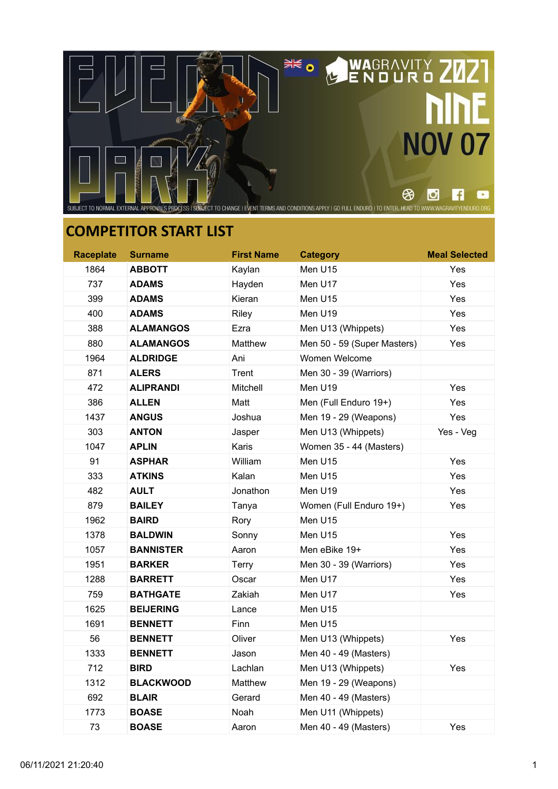

| <b>Raceplate</b> | <b>Surname</b>   | <b>First Name</b> | <b>Category</b>             | <b>Meal Selected</b> |
|------------------|------------------|-------------------|-----------------------------|----------------------|
| 1864             | <b>ABBOTT</b>    | Kaylan            | Men U15                     | Yes                  |
| 737              | <b>ADAMS</b>     | Hayden            | Men U17                     | Yes                  |
| 399              | <b>ADAMS</b>     | Kieran            | Men U15                     | Yes                  |
| 400              | <b>ADAMS</b>     | Riley             | Men U19                     | Yes                  |
| 388              | <b>ALAMANGOS</b> | Ezra              | Men U13 (Whippets)          | Yes                  |
| 880              | <b>ALAMANGOS</b> | Matthew           | Men 50 - 59 (Super Masters) | Yes                  |
| 1964             | <b>ALDRIDGE</b>  | Ani               | Women Welcome               |                      |
| 871              | <b>ALERS</b>     | Trent             | Men 30 - 39 (Warriors)      |                      |
| 472              | <b>ALIPRANDI</b> | Mitchell          | Men U19                     | Yes                  |
| 386              | <b>ALLEN</b>     | Matt              | Men (Full Enduro 19+)       | Yes                  |
| 1437             | <b>ANGUS</b>     | Joshua            | Men 19 - 29 (Weapons)       | Yes                  |
| 303              | <b>ANTON</b>     | Jasper            | Men U13 (Whippets)          | Yes - Veg            |
| 1047             | <b>APLIN</b>     | Karis             | Women 35 - 44 (Masters)     |                      |
| 91               | <b>ASPHAR</b>    | William           | Men U15                     | Yes                  |
| 333              | <b>ATKINS</b>    | Kalan             | Men U15                     | Yes                  |
| 482              | <b>AULT</b>      | Jonathon          | Men U19                     | Yes                  |
| 879              | <b>BAILEY</b>    | Tanya             | Women (Full Enduro 19+)     | Yes                  |
| 1962             | <b>BAIRD</b>     | Rory              | Men U15                     |                      |
| 1378             | <b>BALDWIN</b>   | Sonny             | Men U15                     | Yes                  |
| 1057             | <b>BANNISTER</b> | Aaron             | Men eBike 19+               | Yes                  |
| 1951             | <b>BARKER</b>    | Terry             | Men 30 - 39 (Warriors)      | Yes                  |
| 1288             | <b>BARRETT</b>   | Oscar             | Men U17                     | Yes                  |
| 759              | <b>BATHGATE</b>  | Zakiah            | Men U17                     | Yes                  |
| 1625             | <b>BEIJERING</b> | Lance             | Men U15                     |                      |
| 1691             | <b>BENNETT</b>   | Finn              | Men U15                     |                      |
| 56               | <b>BENNETT</b>   | Oliver            | Men U13 (Whippets)          | Yes                  |
| 1333             | <b>BENNETT</b>   | Jason             | Men 40 - 49 (Masters)       |                      |
| 712              | <b>BIRD</b>      | Lachlan           | Men U13 (Whippets)          | Yes                  |
| 1312             | <b>BLACKWOOD</b> | Matthew           | Men 19 - 29 (Weapons)       |                      |
| 692              | <b>BLAIR</b>     | Gerard            | Men 40 - 49 (Masters)       |                      |
| 1773             | <b>BOASE</b>     | Noah              | Men U11 (Whippets)          |                      |
| 73               | <b>BOASE</b>     | Aaron             | Men 40 - 49 (Masters)       | Yes                  |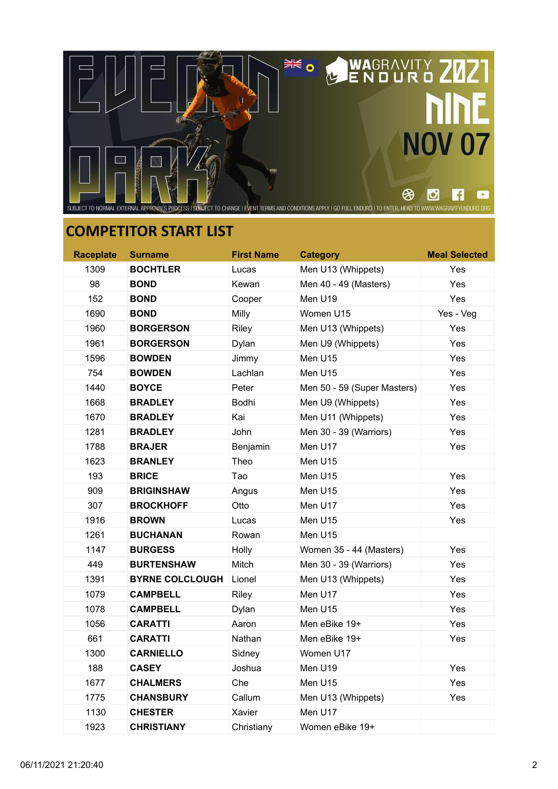

| <b>Raceplate</b> | <b>Surname</b>         | <b>First Name</b> | <b>Category</b>             | <b>Meal Selected</b> |
|------------------|------------------------|-------------------|-----------------------------|----------------------|
| 1309             | <b>BOCHTLER</b>        | Lucas             | Men U13 (Whippets)          | Yes                  |
| 98               | <b>BOND</b>            | Kewan             | Men 40 - 49 (Masters)       | Yes                  |
| 152              | <b>BOND</b>            | Cooper            | Men U19                     | Yes                  |
| 1690             | <b>BOND</b>            | Milly             | Women U15                   | Yes - Veg            |
| 1960             | <b>BORGERSON</b>       | Riley             | Men U13 (Whippets)          | Yes                  |
| 1961             | <b>BORGERSON</b>       | Dylan             | Men U9 (Whippets)           | Yes                  |
| 1596             | <b>BOWDEN</b>          | Jimmy             | Men U15                     | Yes                  |
| 754              | <b>BOWDEN</b>          | Lachlan           | Men U15                     | Yes                  |
| 1440             | <b>BOYCE</b>           | Peter             | Men 50 - 59 (Super Masters) | Yes                  |
| 1668             | <b>BRADLEY</b>         | Bodhi             | Men U9 (Whippets)           | Yes                  |
| 1670             | <b>BRADLEY</b>         | Kai               | Men U11 (Whippets)          | Yes                  |
| 1281             | <b>BRADLEY</b>         | John              | Men 30 - 39 (Warriors)      | Yes                  |
| 1788             | <b>BRAJER</b>          | Benjamin          | Men U17                     | Yes                  |
| 1623             | <b>BRANLEY</b>         | Theo              | Men U15                     |                      |
| 193              | <b>BRICE</b>           | Tao               | Men U15                     | Yes                  |
| 909              | <b>BRIGINSHAW</b>      | Angus             | Men U15                     | Yes                  |
| 307              | <b>BROCKHOFF</b>       | Otto              | Men U17                     | Yes                  |
| 1916             | <b>BROWN</b>           | Lucas             | Men U15                     | Yes                  |
| 1261             | <b>BUCHANAN</b>        | Rowan             | Men U15                     |                      |
| 1147             | <b>BURGESS</b>         | Holly             | Women 35 - 44 (Masters)     | Yes                  |
| 449              | <b>BURTENSHAW</b>      | Mitch             | Men 30 - 39 (Warriors)      | Yes                  |
| 1391             | <b>BYRNE COLCLOUGH</b> | Lionel            | Men U13 (Whippets)          | Yes                  |
| 1079             | <b>CAMPBELL</b>        | Riley             | Men U17                     | Yes                  |
| 1078             | <b>CAMPBELL</b>        | Dylan             | Men U15                     | Yes                  |
| 1056             | CARATTI                | Aaron             | Men eBike 19+               | Yes                  |
| 661              | CARATTI                | Nathan            | Men eBike 19+               | Yes                  |
| 1300             | <b>CARNIELLO</b>       | Sidney            | Women U17                   |                      |
| 188              | <b>CASEY</b>           | Joshua            | Men U19                     | Yes                  |
| 1677             | <b>CHALMERS</b>        | Che               | Men U15                     | Yes                  |
| 1775             | <b>CHANSBURY</b>       | Callum            | Men U13 (Whippets)          | Yes                  |
| 1130             | <b>CHESTER</b>         | Xavier            | Men U17                     |                      |
| 1923             | <b>CHRISTIANY</b>      | Christiany        | Women eBike 19+             |                      |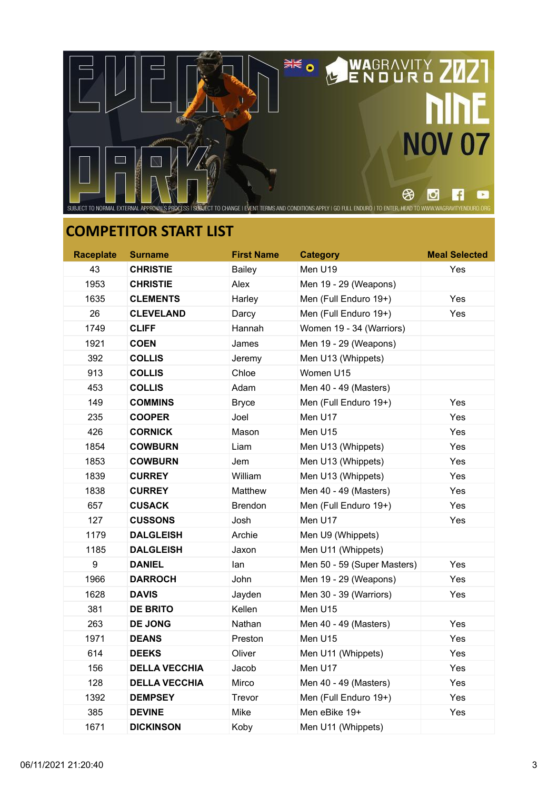

| <b>Raceplate</b> | <b>Surname</b>       | <b>First Name</b> | <b>Category</b>             | <b>Meal Selected</b> |
|------------------|----------------------|-------------------|-----------------------------|----------------------|
| 43               | <b>CHRISTIE</b>      | <b>Bailey</b>     | Men U19                     | Yes                  |
| 1953             | <b>CHRISTIE</b>      | Alex              | Men 19 - 29 (Weapons)       |                      |
| 1635             | <b>CLEMENTS</b>      | Harley            | Men (Full Enduro 19+)       | Yes                  |
| 26               | <b>CLEVELAND</b>     | Darcy             | Men (Full Enduro 19+)       | Yes                  |
| 1749             | <b>CLIFF</b>         | Hannah            | Women 19 - 34 (Warriors)    |                      |
| 1921             | <b>COEN</b>          | James             | Men 19 - 29 (Weapons)       |                      |
| 392              | <b>COLLIS</b>        | Jeremy            | Men U13 (Whippets)          |                      |
| 913              | <b>COLLIS</b>        | Chloe             | Women U15                   |                      |
| 453              | <b>COLLIS</b>        | Adam              | Men 40 - 49 (Masters)       |                      |
| 149              | <b>COMMINS</b>       | <b>Bryce</b>      | Men (Full Enduro 19+)       | Yes                  |
| 235              | <b>COOPER</b>        | Joel              | Men U17                     | Yes                  |
| 426              | <b>CORNICK</b>       | Mason             | Men U15                     | Yes                  |
| 1854             | <b>COWBURN</b>       | Liam              | Men U13 (Whippets)          | Yes                  |
| 1853             | <b>COWBURN</b>       | Jem               | Men U13 (Whippets)          | Yes                  |
| 1839             | <b>CURREY</b>        | William           | Men U13 (Whippets)          | Yes                  |
| 1838             | <b>CURREY</b>        | Matthew           | Men 40 - 49 (Masters)       | Yes                  |
| 657              | <b>CUSACK</b>        | <b>Brendon</b>    | Men (Full Enduro 19+)       | Yes                  |
| 127              | <b>CUSSONS</b>       | Josh              | Men U17                     | Yes                  |
| 1179             | <b>DALGLEISH</b>     | Archie            | Men U9 (Whippets)           |                      |
| 1185             | <b>DALGLEISH</b>     | Jaxon             | Men U11 (Whippets)          |                      |
| 9                | <b>DANIEL</b>        | lan               | Men 50 - 59 (Super Masters) | Yes                  |
| 1966             | <b>DARROCH</b>       | John              | Men 19 - 29 (Weapons)       | Yes                  |
| 1628             | <b>DAVIS</b>         | Jayden            | Men 30 - 39 (Warriors)      | Yes                  |
| 381              | <b>DE BRITO</b>      | Kellen            | Men U15                     |                      |
| 263              | <b>DE JONG</b>       | Nathan            | Men 40 - 49 (Masters)       | Yes                  |
| 1971             | <b>DEANS</b>         | Preston           | Men U15                     | Yes                  |
| 614              | <b>DEEKS</b>         | Oliver            | Men U11 (Whippets)          | Yes                  |
| 156              | <b>DELLA VECCHIA</b> | Jacob             | Men U17                     | Yes                  |
| 128              | <b>DELLA VECCHIA</b> | Mirco             | Men 40 - 49 (Masters)       | Yes                  |
| 1392             | <b>DEMPSEY</b>       | Trevor            | Men (Full Enduro 19+)       | Yes                  |
| 385              | <b>DEVINE</b>        | Mike              | Men eBike 19+               | Yes                  |
| 1671             | <b>DICKINSON</b>     | Koby              | Men U11 (Whippets)          |                      |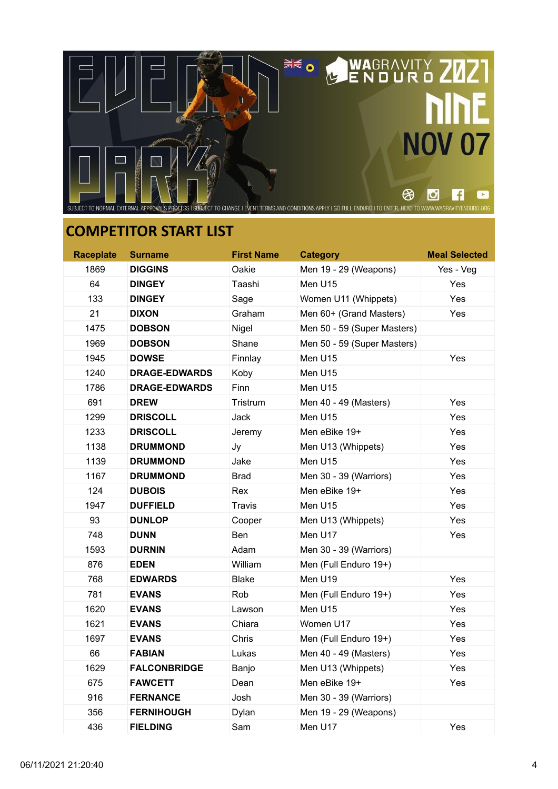

| <b>Raceplate</b> | <b>Surname</b>       | <b>First Name</b> | <b>Category</b>             | <b>Meal Selected</b> |
|------------------|----------------------|-------------------|-----------------------------|----------------------|
| 1869             | <b>DIGGINS</b>       | Oakie             | Men 19 - 29 (Weapons)       | Yes - Veg            |
| 64               | <b>DINGEY</b>        | Taashi            | Men U15                     | Yes                  |
| 133              | <b>DINGEY</b>        | Sage              | Women U11 (Whippets)        | Yes                  |
| 21               | <b>DIXON</b>         | Graham            | Men 60+ (Grand Masters)     | Yes                  |
| 1475             | <b>DOBSON</b>        | Nigel             | Men 50 - 59 (Super Masters) |                      |
| 1969             | <b>DOBSON</b>        | Shane             | Men 50 - 59 (Super Masters) |                      |
| 1945             | <b>DOWSE</b>         | Finnlay           | Men U15                     | Yes                  |
| 1240             | <b>DRAGE-EDWARDS</b> | Koby              | Men U15                     |                      |
| 1786             | <b>DRAGE-EDWARDS</b> | Finn              | Men U15                     |                      |
| 691              | <b>DREW</b>          | Tristrum          | Men 40 - 49 (Masters)       | Yes                  |
| 1299             | <b>DRISCOLL</b>      | Jack              | Men U15                     | Yes                  |
| 1233             | <b>DRISCOLL</b>      | Jeremy            | Men eBike 19+               | Yes                  |
| 1138             | <b>DRUMMOND</b>      | Jy                | Men U13 (Whippets)          | Yes                  |
| 1139             | <b>DRUMMOND</b>      | Jake              | Men U15                     | Yes                  |
| 1167             | <b>DRUMMOND</b>      | <b>Brad</b>       | Men 30 - 39 (Warriors)      | Yes                  |
| 124              | <b>DUBOIS</b>        | Rex               | Men eBike 19+               | Yes                  |
| 1947             | <b>DUFFIELD</b>      | Travis            | Men U15                     | Yes                  |
| 93               | <b>DUNLOP</b>        | Cooper            | Men U13 (Whippets)          | Yes                  |
| 748              | <b>DUNN</b>          | <b>Ben</b>        | Men U17                     | Yes                  |
| 1593             | <b>DURNIN</b>        | Adam              | Men 30 - 39 (Warriors)      |                      |
| 876              | <b>EDEN</b>          | William           | Men (Full Enduro 19+)       |                      |
| 768              | <b>EDWARDS</b>       | <b>Blake</b>      | Men U19                     | Yes                  |
| 781              | <b>EVANS</b>         | Rob               | Men (Full Enduro 19+)       | Yes                  |
| 1620             | <b>EVANS</b>         | Lawson            | Men U15                     | Yes                  |
| 1621             | <b>EVANS</b>         | Chiara            | Women U17                   | Yes                  |
| 1697             | <b>EVANS</b>         | <b>Chris</b>      | Men (Full Enduro 19+)       | Yes                  |
| 66               | <b>FABIAN</b>        | Lukas             | Men 40 - 49 (Masters)       | Yes                  |
| 1629             | <b>FALCONBRIDGE</b>  | Banjo             | Men U13 (Whippets)          | Yes                  |
| 675              | <b>FAWCETT</b>       | Dean              | Men eBike 19+               | Yes                  |
| 916              | <b>FERNANCE</b>      | Josh              | Men 30 - 39 (Warriors)      |                      |
| 356              | <b>FERNIHOUGH</b>    | Dylan             | Men 19 - 29 (Weapons)       |                      |
| 436              | <b>FIELDING</b>      | Sam               | Men U17                     | Yes                  |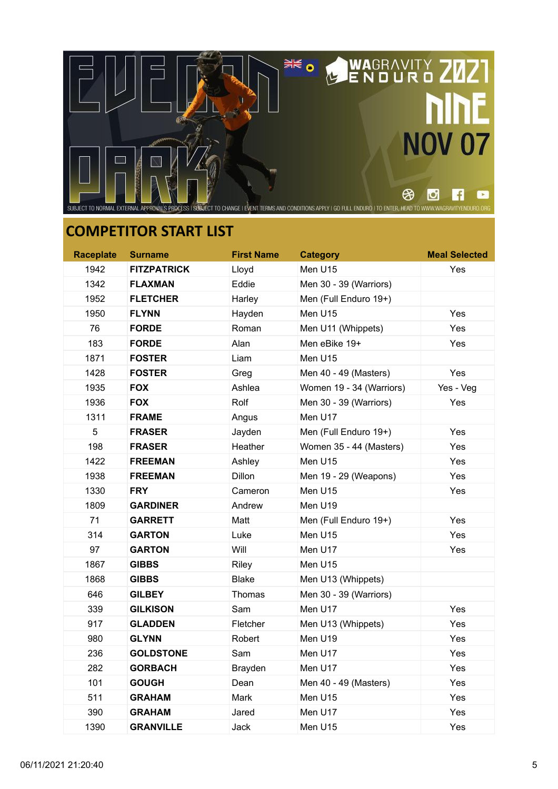

| <b>Raceplate</b> | <b>Surname</b>     | <b>First Name</b> | <b>Category</b>          | <b>Meal Selected</b> |
|------------------|--------------------|-------------------|--------------------------|----------------------|
| 1942             | <b>FITZPATRICK</b> | Lloyd             | Men U15                  | Yes                  |
| 1342             | <b>FLAXMAN</b>     | Eddie             | Men 30 - 39 (Warriors)   |                      |
| 1952             | <b>FLETCHER</b>    | Harley            | Men (Full Enduro 19+)    |                      |
| 1950             | <b>FLYNN</b>       | Hayden            | Men U15                  | Yes                  |
| 76               | <b>FORDE</b>       | Roman             | Men U11 (Whippets)       | Yes                  |
| 183              | <b>FORDE</b>       | Alan              | Men eBike 19+            | Yes                  |
| 1871             | <b>FOSTER</b>      | Liam              | Men U15                  |                      |
| 1428             | <b>FOSTER</b>      | Greg              | Men 40 - 49 (Masters)    | Yes                  |
| 1935             | <b>FOX</b>         | Ashlea            | Women 19 - 34 (Warriors) | Yes - Veg            |
| 1936             | <b>FOX</b>         | Rolf              | Men 30 - 39 (Warriors)   | Yes                  |
| 1311             | <b>FRAME</b>       | Angus             | Men U17                  |                      |
| 5                | <b>FRASER</b>      | Jayden            | Men (Full Enduro 19+)    | Yes                  |
| 198              | <b>FRASER</b>      | Heather           | Women 35 - 44 (Masters)  | Yes                  |
| 1422             | <b>FREEMAN</b>     | Ashley            | Men U15                  | Yes                  |
| 1938             | <b>FREEMAN</b>     | Dillon            | Men 19 - 29 (Weapons)    | Yes                  |
| 1330             | <b>FRY</b>         | Cameron           | Men U15                  | Yes                  |
| 1809             | <b>GARDINER</b>    | Andrew            | Men U19                  |                      |
| 71               | <b>GARRETT</b>     | Matt              | Men (Full Enduro 19+)    | Yes                  |
| 314              | <b>GARTON</b>      | Luke              | Men U15                  | Yes                  |
| 97               | <b>GARTON</b>      | Will              | Men U17                  | Yes                  |
| 1867             | <b>GIBBS</b>       | Riley             | Men U15                  |                      |
| 1868             | <b>GIBBS</b>       | <b>Blake</b>      | Men U13 (Whippets)       |                      |
| 646              | <b>GILBEY</b>      | Thomas            | Men 30 - 39 (Warriors)   |                      |
| 339              | <b>GILKISON</b>    | Sam               | Men U17                  | Yes                  |
| 917              | <b>GLADDEN</b>     | Fletcher          | Men U13 (Whippets)       | Yes                  |
| 980              | <b>GLYNN</b>       | Robert            | Men U19                  | Yes                  |
| 236              | <b>GOLDSTONE</b>   | Sam               | Men U17                  | Yes                  |
| 282              | <b>GORBACH</b>     | Brayden           | Men U17                  | Yes                  |
| 101              | <b>GOUGH</b>       | Dean              | Men 40 - 49 (Masters)    | Yes                  |
| 511              | <b>GRAHAM</b>      | Mark              | Men U15                  | Yes                  |
| 390              | <b>GRAHAM</b>      | Jared             | Men U17                  | Yes                  |
| 1390             | <b>GRANVILLE</b>   | Jack              | Men U15                  | Yes                  |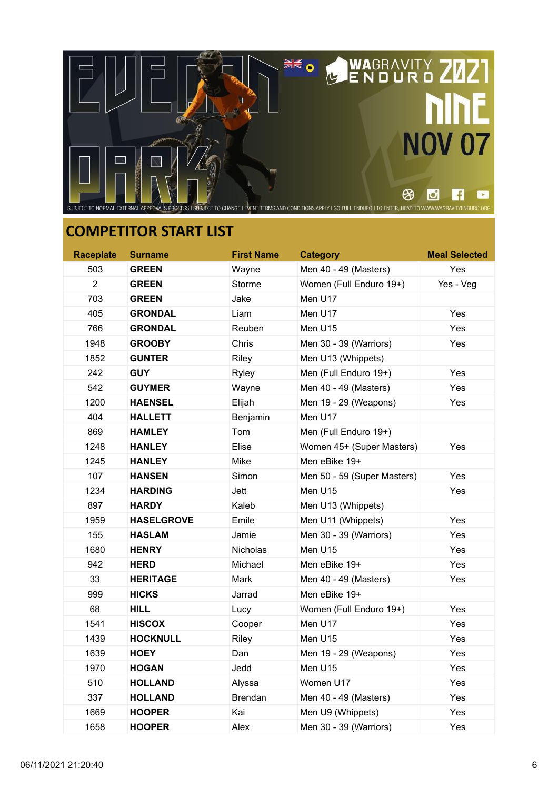

| <b>Raceplate</b> | <b>Surname</b>    | <b>First Name</b> | <b>Category</b>             | <b>Meal Selected</b> |
|------------------|-------------------|-------------------|-----------------------------|----------------------|
| 503              | <b>GREEN</b>      | Wayne             | Men 40 - 49 (Masters)       | Yes                  |
| $\overline{2}$   | <b>GREEN</b>      | Storme            | Women (Full Enduro 19+)     | Yes - Veg            |
| 703              | <b>GREEN</b>      | Jake              | Men U17                     |                      |
| 405              | <b>GRONDAL</b>    | Liam              | Men U17                     | Yes                  |
| 766              | <b>GRONDAL</b>    | Reuben            | Men U15                     | Yes                  |
| 1948             | <b>GROOBY</b>     | Chris             | Men 30 - 39 (Warriors)      | Yes                  |
| 1852             | <b>GUNTER</b>     | Riley             | Men U13 (Whippets)          |                      |
| 242              | <b>GUY</b>        | Ryley             | Men (Full Enduro 19+)       | Yes                  |
| 542              | <b>GUYMER</b>     | Wayne             | Men 40 - 49 (Masters)       | Yes                  |
| 1200             | <b>HAENSEL</b>    | Elijah            | Men 19 - 29 (Weapons)       | Yes                  |
| 404              | <b>HALLETT</b>    | Benjamin          | Men U17                     |                      |
| 869              | <b>HAMLEY</b>     | Tom               | Men (Full Enduro 19+)       |                      |
| 1248             | <b>HANLEY</b>     | Elise             | Women 45+ (Super Masters)   | Yes                  |
| 1245             | <b>HANLEY</b>     | Mike              | Men eBike 19+               |                      |
| 107              | <b>HANSEN</b>     | Simon             | Men 50 - 59 (Super Masters) | Yes                  |
| 1234             | <b>HARDING</b>    | Jett              | Men U15                     | Yes                  |
| 897              | <b>HARDY</b>      | Kaleb             | Men U13 (Whippets)          |                      |
| 1959             | <b>HASELGROVE</b> | Emile             | Men U11 (Whippets)          | Yes                  |
| 155              | <b>HASLAM</b>     | Jamie             | Men 30 - 39 (Warriors)      | Yes                  |
| 1680             | <b>HENRY</b>      | <b>Nicholas</b>   | Men U15                     | Yes                  |
| 942              | <b>HERD</b>       | Michael           | Men eBike 19+               | Yes                  |
| 33               | <b>HERITAGE</b>   | Mark              | Men 40 - 49 (Masters)       | Yes                  |
| 999              | <b>HICKS</b>      | Jarrad            | Men eBike 19+               |                      |
| 68               | <b>HILL</b>       | Lucy              | Women (Full Enduro 19+)     | Yes                  |
| 1541             | <b>HISCOX</b>     | Cooper            | Men U17                     | Yes                  |
| 1439             | <b>HOCKNULL</b>   | Riley             | Men U15                     | Yes                  |
| 1639             | <b>HOEY</b>       | Dan               | Men 19 - 29 (Weapons)       | Yes                  |
| 1970             | <b>HOGAN</b>      | Jedd              | Men U15                     | Yes                  |
| 510              | <b>HOLLAND</b>    | Alyssa            | Women U17                   | Yes                  |
| 337              | <b>HOLLAND</b>    | <b>Brendan</b>    | Men 40 - 49 (Masters)       | Yes                  |
| 1669             | <b>HOOPER</b>     | Kai               | Men U9 (Whippets)           | Yes                  |
| 1658             | <b>HOOPER</b>     | Alex              | Men 30 - 39 (Warriors)      | Yes                  |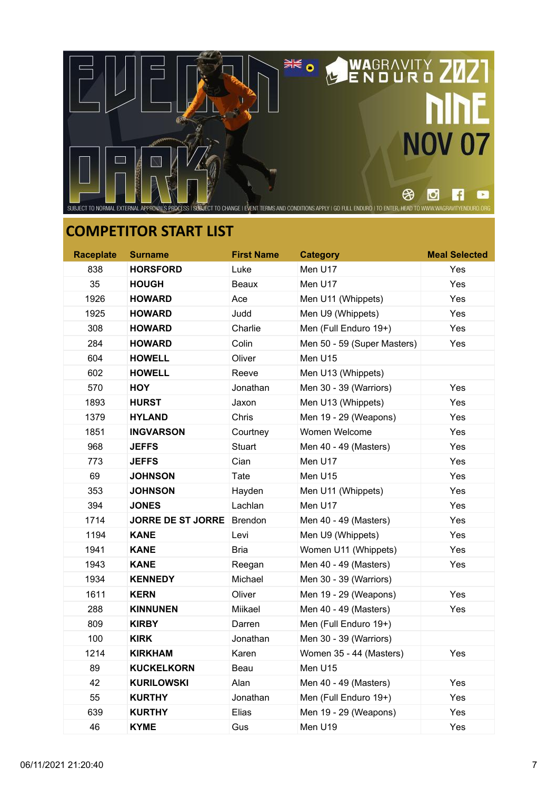

| <b>Raceplate</b> | <b>Surname</b>           | <b>First Name</b> | <b>Category</b>             | <b>Meal Selected</b> |
|------------------|--------------------------|-------------------|-----------------------------|----------------------|
| 838              | <b>HORSFORD</b>          | Luke              | Men U17                     | Yes                  |
| 35               | <b>HOUGH</b>             | <b>Beaux</b>      | Men U17                     | Yes                  |
| 1926             | <b>HOWARD</b>            | Ace               | Men U11 (Whippets)          | Yes                  |
| 1925             | <b>HOWARD</b>            | Judd              | Men U9 (Whippets)           | Yes                  |
| 308              | <b>HOWARD</b>            | Charlie           | Men (Full Enduro 19+)       | Yes                  |
| 284              | <b>HOWARD</b>            | Colin             | Men 50 - 59 (Super Masters) | Yes                  |
| 604              | <b>HOWELL</b>            | Oliver            | Men U15                     |                      |
| 602              | <b>HOWELL</b>            | Reeve             | Men U13 (Whippets)          |                      |
| 570              | <b>HOY</b>               | Jonathan          | Men 30 - 39 (Warriors)      | Yes                  |
| 1893             | <b>HURST</b>             | Jaxon             | Men U13 (Whippets)          | Yes                  |
| 1379             | <b>HYLAND</b>            | Chris             | Men 19 - 29 (Weapons)       | Yes                  |
| 1851             | <b>INGVARSON</b>         | Courtney          | Women Welcome               | Yes                  |
| 968              | <b>JEFFS</b>             | <b>Stuart</b>     | Men 40 - 49 (Masters)       | Yes                  |
| 773              | <b>JEFFS</b>             | Cian              | Men U17                     | Yes                  |
| 69               | <b>JOHNSON</b>           | Tate              | Men U15                     | Yes                  |
| 353              | <b>JOHNSON</b>           | Hayden            | Men U11 (Whippets)          | Yes                  |
| 394              | <b>JONES</b>             | Lachlan           | Men U17                     | Yes                  |
| 1714             | <b>JORRE DE ST JORRE</b> | Brendon           | Men 40 - 49 (Masters)       | Yes                  |
| 1194             | <b>KANE</b>              | Levi              | Men U9 (Whippets)           | Yes                  |
| 1941             | <b>KANE</b>              | Bria              | Women U11 (Whippets)        | Yes                  |
| 1943             | <b>KANE</b>              | Reegan            | Men 40 - 49 (Masters)       | Yes                  |
| 1934             | <b>KENNEDY</b>           | Michael           | Men 30 - 39 (Warriors)      |                      |
| 1611             | <b>KERN</b>              | Oliver            | Men 19 - 29 (Weapons)       | Yes                  |
| 288              | <b>KINNUNEN</b>          | Miikael           | Men 40 - 49 (Masters)       | Yes                  |
| 809              | <b>KIRBY</b>             | Darren            | Men (Full Enduro 19+)       |                      |
| 100              | <b>KIRK</b>              | Jonathan          | Men 30 - 39 (Warriors)      |                      |
| 1214             | <b>KIRKHAM</b>           | Karen             | Women 35 - 44 (Masters)     | Yes                  |
| 89               | <b>KUCKELKORN</b>        | Beau              | Men U15                     |                      |
| 42               | <b>KURILOWSKI</b>        | Alan              | Men 40 - 49 (Masters)       | Yes                  |
| 55               | <b>KURTHY</b>            | Jonathan          | Men (Full Enduro 19+)       | Yes                  |
| 639              | <b>KURTHY</b>            | Elias             | Men 19 - 29 (Weapons)       | Yes                  |
| 46               | <b>KYME</b>              | Gus               | Men U19                     | Yes                  |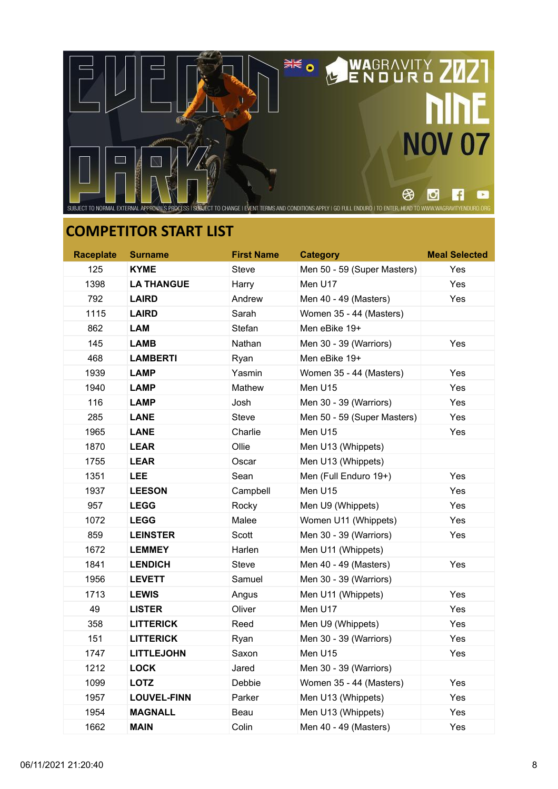

| <b>Raceplate</b> | <b>Surname</b>     | <b>First Name</b> | <b>Category</b>             | <b>Meal Selected</b> |
|------------------|--------------------|-------------------|-----------------------------|----------------------|
| 125              | KYME               | <b>Steve</b>      | Men 50 - 59 (Super Masters) | Yes                  |
| 1398             | <b>LA THANGUE</b>  | Harry             | Men U17                     | Yes                  |
| 792              | <b>LAIRD</b>       | Andrew            | Men 40 - 49 (Masters)       | Yes                  |
| 1115             | <b>LAIRD</b>       | Sarah             | Women 35 - 44 (Masters)     |                      |
| 862              | <b>LAM</b>         | Stefan            | Men eBike 19+               |                      |
| 145              | <b>LAMB</b>        | Nathan            | Men 30 - 39 (Warriors)      | Yes                  |
| 468              | <b>LAMBERTI</b>    | Ryan              | Men eBike 19+               |                      |
| 1939             | <b>LAMP</b>        | Yasmin            | Women 35 - 44 (Masters)     | Yes                  |
| 1940             | <b>LAMP</b>        | Mathew            | Men U15                     | Yes                  |
| 116              | LAMP               | Josh              | Men 30 - 39 (Warriors)      | Yes                  |
| 285              | LANE               | <b>Steve</b>      | Men 50 - 59 (Super Masters) | Yes                  |
| 1965             | <b>LANE</b>        | Charlie           | Men U15                     | Yes                  |
| 1870             | <b>LEAR</b>        | Ollie             | Men U13 (Whippets)          |                      |
| 1755             | <b>LEAR</b>        | Oscar             | Men U13 (Whippets)          |                      |
| 1351             | <b>LEE</b>         | Sean              | Men (Full Enduro 19+)       | Yes                  |
| 1937             | <b>LEESON</b>      | Campbell          | Men U15                     | Yes                  |
| 957              | <b>LEGG</b>        | Rocky             | Men U9 (Whippets)           | Yes                  |
| 1072             | <b>LEGG</b>        | Malee             | Women U11 (Whippets)        | Yes                  |
| 859              | <b>LEINSTER</b>    | Scott             | Men 30 - 39 (Warriors)      | Yes                  |
| 1672             | <b>LEMMEY</b>      | Harlen            | Men U11 (Whippets)          |                      |
| 1841             | <b>LENDICH</b>     | <b>Steve</b>      | Men 40 - 49 (Masters)       | Yes                  |
| 1956             | <b>LEVETT</b>      | Samuel            | Men 30 - 39 (Warriors)      |                      |
| 1713             | <b>LEWIS</b>       | Angus             | Men U11 (Whippets)          | Yes                  |
| 49               | LISTER             | Oliver            | Men U17                     | Yes                  |
| 358              | <b>LITTERICK</b>   | Reed              | Men U9 (Whippets)           | Yes                  |
| 151              | <b>LITTERICK</b>   | Ryan              | Men 30 - 39 (Warriors)      | Yes                  |
| 1747             | <b>LITTLEJOHN</b>  | Saxon             | Men U15                     | Yes                  |
| 1212             | <b>LOCK</b>        | Jared             | Men 30 - 39 (Warriors)      |                      |
| 1099             | <b>LOTZ</b>        | Debbie            | Women 35 - 44 (Masters)     | Yes                  |
| 1957             | <b>LOUVEL-FINN</b> | Parker            | Men U13 (Whippets)          | Yes                  |
| 1954             | <b>MAGNALL</b>     | Beau              | Men U13 (Whippets)          | Yes                  |
| 1662             | <b>MAIN</b>        | Colin             | Men 40 - 49 (Masters)       | Yes                  |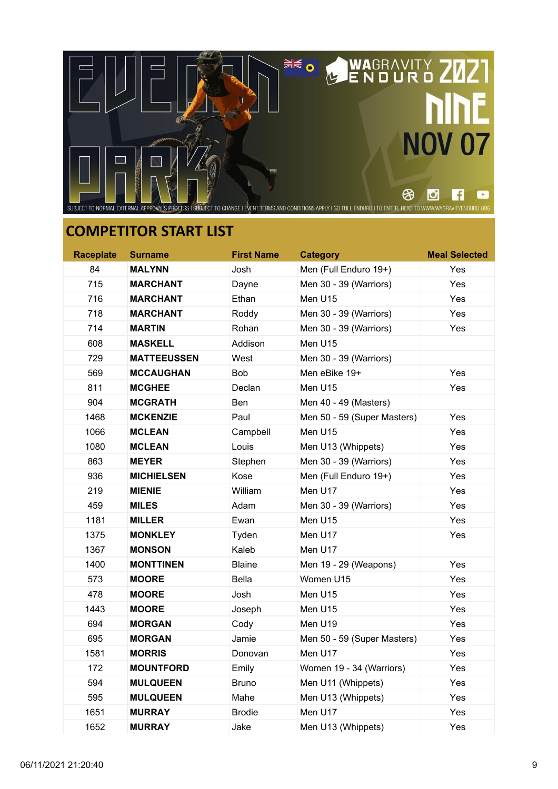

| <b>Raceplate</b> | <b>Surname</b>     | <b>First Name</b> | <b>Category</b>             | <b>Meal Selected</b> |
|------------------|--------------------|-------------------|-----------------------------|----------------------|
| 84               | <b>MALYNN</b>      | Josh              | Men (Full Enduro 19+)       | Yes                  |
| 715              | <b>MARCHANT</b>    | Dayne             | Men 30 - 39 (Warriors)      | Yes                  |
| 716              | <b>MARCHANT</b>    | Ethan             | Men U15                     | Yes                  |
| 718              | <b>MARCHANT</b>    | Roddy             | Men 30 - 39 (Warriors)      | Yes                  |
| 714              | <b>MARTIN</b>      | Rohan             | Men 30 - 39 (Warriors)      | Yes                  |
| 608              | <b>MASKELL</b>     | Addison           | Men U15                     |                      |
| 729              | <b>MATTEEUSSEN</b> | West              | Men 30 - 39 (Warriors)      |                      |
| 569              | <b>MCCAUGHAN</b>   | <b>Bob</b>        | Men eBike 19+               | Yes                  |
| 811              | <b>MCGHEE</b>      | Declan            | Men U15                     | Yes                  |
| 904              | <b>MCGRATH</b>     | <b>Ben</b>        | Men 40 - 49 (Masters)       |                      |
| 1468             | <b>MCKENZIE</b>    | Paul              | Men 50 - 59 (Super Masters) | Yes                  |
| 1066             | <b>MCLEAN</b>      | Campbell          | Men U15                     | Yes                  |
| 1080             | <b>MCLEAN</b>      | Louis             | Men U13 (Whippets)          | Yes                  |
| 863              | <b>MEYER</b>       | Stephen           | Men 30 - 39 (Warriors)      | Yes                  |
| 936              | <b>MICHIELSEN</b>  | Kose              | Men (Full Enduro 19+)       | Yes                  |
| 219              | <b>MIENIE</b>      | William           | Men U17                     | Yes                  |
| 459              | <b>MILES</b>       | Adam              | Men 30 - 39 (Warriors)      | Yes                  |
| 1181             | <b>MILLER</b>      | Ewan              | Men U15                     | Yes                  |
| 1375             | <b>MONKLEY</b>     | Tyden             | Men U17                     | Yes                  |
| 1367             | <b>MONSON</b>      | Kaleb             | Men U17                     |                      |
| 1400             | <b>MONTTINEN</b>   | <b>Blaine</b>     | Men 19 - 29 (Weapons)       | Yes                  |
| 573              | <b>MOORE</b>       | Bella             | Women U15                   | Yes                  |
| 478              | <b>MOORE</b>       | Josh              | Men U15                     | Yes                  |
| 1443             | <b>MOORE</b>       | Joseph            | Men U15                     | Yes                  |
| 694              | <b>MORGAN</b>      | Cody              | Men U19                     | Yes                  |
| 695              | <b>MORGAN</b>      | Jamie             | Men 50 - 59 (Super Masters) | Yes                  |
| 1581             | <b>MORRIS</b>      | Donovan           | Men U17                     | Yes                  |
| 172              | <b>MOUNTFORD</b>   | Emily             | Women 19 - 34 (Warriors)    | Yes                  |
| 594              | <b>MULQUEEN</b>    | <b>Bruno</b>      | Men U11 (Whippets)          | Yes                  |
| 595              | <b>MULQUEEN</b>    | Mahe              | Men U13 (Whippets)          | Yes                  |
| 1651             | <b>MURRAY</b>      | <b>Brodie</b>     | Men U17                     | Yes                  |
| 1652             | <b>MURRAY</b>      | Jake              | Men U13 (Whippets)          | Yes                  |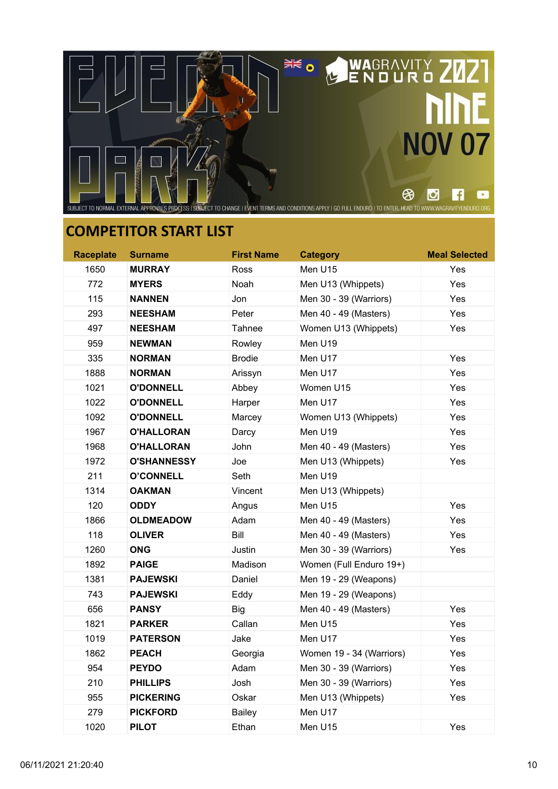

| <b>Raceplate</b> | <b>Surname</b>     | <b>First Name</b> | <b>Category</b>          | <b>Meal Selected</b> |
|------------------|--------------------|-------------------|--------------------------|----------------------|
| 1650             | <b>MURRAY</b>      | Ross              | Men U15                  | Yes                  |
| 772              | <b>MYERS</b>       | Noah              | Men U13 (Whippets)       | Yes                  |
| 115              | <b>NANNEN</b>      | Jon               | Men 30 - 39 (Warriors)   | Yes                  |
| 293              | <b>NEESHAM</b>     | Peter             | Men 40 - 49 (Masters)    | Yes                  |
| 497              | <b>NEESHAM</b>     | Tahnee            | Women U13 (Whippets)     | Yes                  |
| 959              | <b>NEWMAN</b>      | Rowley            | Men U19                  |                      |
| 335              | <b>NORMAN</b>      | <b>Brodie</b>     | Men U17                  | Yes                  |
| 1888             | <b>NORMAN</b>      | Arissyn           | Men U17                  | Yes                  |
| 1021             | <b>O'DONNELL</b>   | Abbey             | Women U15                | Yes                  |
| 1022             | <b>O'DONNELL</b>   | Harper            | Men U17                  | Yes                  |
| 1092             | <b>O'DONNELL</b>   | Marcey            | Women U13 (Whippets)     | Yes                  |
| 1967             | <b>O'HALLORAN</b>  | Darcy             | Men U19                  | Yes                  |
| 1968             | <b>O'HALLORAN</b>  | John              | Men 40 - 49 (Masters)    | Yes                  |
| 1972             | <b>O'SHANNESSY</b> | Joe               | Men U13 (Whippets)       | Yes                  |
| 211              | <b>O'CONNELL</b>   | Seth              | Men U19                  |                      |
| 1314             | <b>OAKMAN</b>      | Vincent           | Men U13 (Whippets)       |                      |
| 120              | <b>ODDY</b>        | Angus             | Men U15                  | Yes                  |
| 1866             | <b>OLDMEADOW</b>   | Adam              | Men 40 - 49 (Masters)    | Yes                  |
| 118              | <b>OLIVER</b>      | Bill              | Men 40 - 49 (Masters)    | Yes                  |
| 1260             | <b>ONG</b>         | Justin            | Men 30 - 39 (Warriors)   | Yes                  |
| 1892             | <b>PAIGE</b>       | Madison           | Women (Full Enduro 19+)  |                      |
| 1381             | <b>PAJEWSKI</b>    | Daniel            | Men 19 - 29 (Weapons)    |                      |
| 743              | <b>PAJEWSKI</b>    | Eddy              | Men 19 - 29 (Weapons)    |                      |
| 656              | <b>PANSY</b>       | <b>Big</b>        | Men 40 - 49 (Masters)    | Yes                  |
| 1821             | <b>PARKER</b>      | Callan            | Men U15                  | Yes                  |
| 1019             | <b>PATERSON</b>    | Jake              | Men U17                  | Yes                  |
| 1862             | <b>PEACH</b>       | Georgia           | Women 19 - 34 (Warriors) | Yes                  |
| 954              | <b>PEYDO</b>       | Adam              | Men 30 - 39 (Warriors)   | Yes                  |
| 210              | <b>PHILLIPS</b>    | Josh              | Men 30 - 39 (Warriors)   | Yes                  |
| 955              | <b>PICKERING</b>   | Oskar             | Men U13 (Whippets)       | Yes                  |
| 279              | <b>PICKFORD</b>    | <b>Bailey</b>     | Men U17                  |                      |
| 1020             | <b>PILOT</b>       | Ethan             | Men U15                  | Yes                  |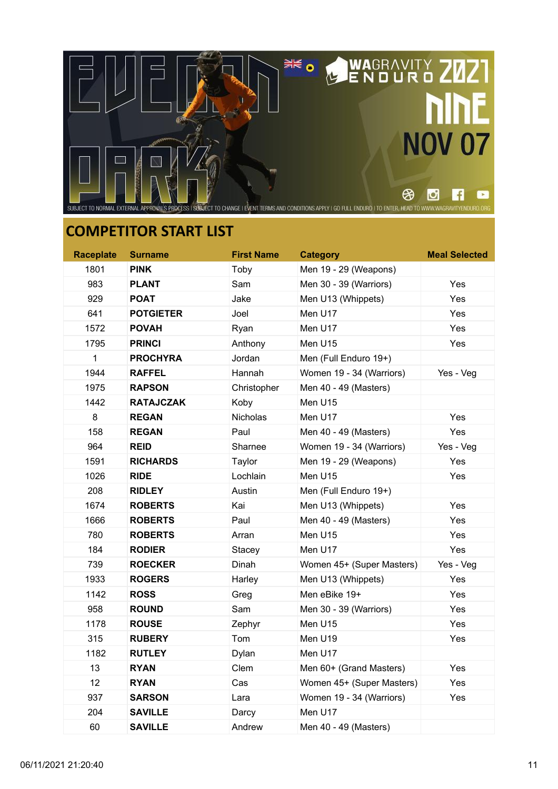

| <b>Raceplate</b> | <b>Surname</b>   | <b>First Name</b> | <b>Category</b>           | <b>Meal Selected</b> |
|------------------|------------------|-------------------|---------------------------|----------------------|
| 1801             | <b>PINK</b>      | Toby              | Men 19 - 29 (Weapons)     |                      |
| 983              | <b>PLANT</b>     | Sam               | Men 30 - 39 (Warriors)    | Yes                  |
| 929              | <b>POAT</b>      | Jake              | Men U13 (Whippets)        | Yes                  |
| 641              | <b>POTGIETER</b> | Joel              | Men U17                   | Yes                  |
| 1572             | <b>POVAH</b>     | Ryan              | Men U17                   | Yes                  |
| 1795             | <b>PRINCI</b>    | Anthony           | Men U15                   | Yes                  |
| $\mathbf{1}$     | <b>PROCHYRA</b>  | Jordan            | Men (Full Enduro 19+)     |                      |
| 1944             | <b>RAFFEL</b>    | Hannah            | Women 19 - 34 (Warriors)  | Yes - Veg            |
| 1975             | <b>RAPSON</b>    | Christopher       | Men 40 - 49 (Masters)     |                      |
| 1442             | <b>RATAJCZAK</b> | Koby              | Men U15                   |                      |
| 8                | <b>REGAN</b>     | Nicholas          | Men U17                   | Yes                  |
| 158              | <b>REGAN</b>     | Paul              | Men 40 - 49 (Masters)     | Yes                  |
| 964              | <b>REID</b>      | Sharnee           | Women 19 - 34 (Warriors)  | Yes - Veg            |
| 1591             | <b>RICHARDS</b>  | Taylor            | Men 19 - 29 (Weapons)     | Yes                  |
| 1026             | <b>RIDE</b>      | Lochlain          | Men U15                   | Yes                  |
| 208              | <b>RIDLEY</b>    | Austin            | Men (Full Enduro 19+)     |                      |
| 1674             | <b>ROBERTS</b>   | Kai               | Men U13 (Whippets)        | Yes                  |
| 1666             | <b>ROBERTS</b>   | Paul              | Men 40 - 49 (Masters)     | Yes                  |
| 780              | <b>ROBERTS</b>   | Arran             | Men U15                   | Yes                  |
| 184              | <b>RODIER</b>    | Stacey            | Men U17                   | Yes                  |
| 739              | <b>ROECKER</b>   | Dinah             | Women 45+ (Super Masters) | Yes - Veg            |
| 1933             | <b>ROGERS</b>    | Harley            | Men U13 (Whippets)        | Yes                  |
| 1142             | <b>ROSS</b>      | Greg              | Men eBike 19+             | Yes                  |
| 958              | <b>ROUND</b>     | Sam               | Men 30 - 39 (Warriors)    | Yes                  |
| 1178             | <b>ROUSE</b>     | Zephyr            | Men U15                   | Yes                  |
| 315              | <b>RUBERY</b>    | Tom               | Men U19                   | Yes                  |
| 1182             | <b>RUTLEY</b>    | Dylan             | Men U17                   |                      |
| 13               | <b>RYAN</b>      | Clem              | Men 60+ (Grand Masters)   | Yes                  |
| 12               | <b>RYAN</b>      | Cas               | Women 45+ (Super Masters) | Yes                  |
| 937              | SARSON           | Lara              | Women 19 - 34 (Warriors)  | Yes                  |
| 204              | <b>SAVILLE</b>   | Darcy             | Men U17                   |                      |
| 60               | <b>SAVILLE</b>   | Andrew            | Men 40 - 49 (Masters)     |                      |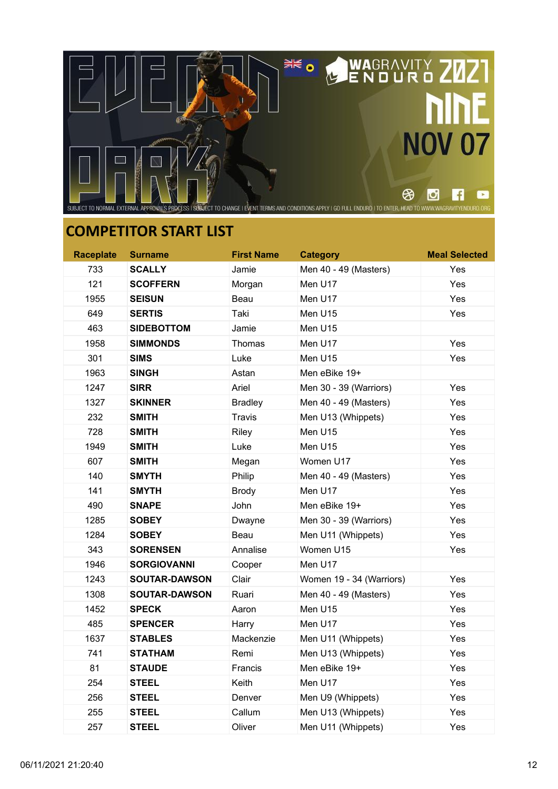

| <b>Raceplate</b> | <b>Surname</b>       | <b>First Name</b> | <b>Category</b>          | <b>Meal Selected</b> |
|------------------|----------------------|-------------------|--------------------------|----------------------|
| 733              | <b>SCALLY</b>        | Jamie             | Men 40 - 49 (Masters)    | Yes                  |
| 121              | <b>SCOFFERN</b>      | Morgan            | Men U17                  | Yes                  |
| 1955             | <b>SEISUN</b>        | Beau              | Men U17                  | Yes                  |
| 649              | <b>SERTIS</b>        | Taki              | Men U15                  | Yes                  |
| 463              | <b>SIDEBOTTOM</b>    | Jamie             | Men U15                  |                      |
| 1958             | <b>SIMMONDS</b>      | Thomas            | Men U17                  | Yes                  |
| 301              | <b>SIMS</b>          | Luke              | Men U15                  | Yes                  |
| 1963             | <b>SINGH</b>         | Astan             | Men eBike 19+            |                      |
| 1247             | <b>SIRR</b>          | Ariel             | Men 30 - 39 (Warriors)   | Yes                  |
| 1327             | <b>SKINNER</b>       | <b>Bradley</b>    | Men 40 - 49 (Masters)    | Yes                  |
| 232              | <b>SMITH</b>         | Travis            | Men U13 (Whippets)       | Yes                  |
| 728              | <b>SMITH</b>         | Riley             | Men U15                  | Yes                  |
| 1949             | <b>SMITH</b>         | Luke              | Men U15                  | Yes                  |
| 607              | <b>SMITH</b>         | Megan             | Women U17                | Yes                  |
| 140              | <b>SMYTH</b>         | Philip            | Men 40 - 49 (Masters)    | Yes                  |
| 141              | <b>SMYTH</b>         | <b>Brody</b>      | Men U17                  | Yes                  |
| 490              | <b>SNAPE</b>         | John              | Men eBike 19+            | Yes                  |
| 1285             | <b>SOBEY</b>         | Dwayne            | Men 30 - 39 (Warriors)   | Yes                  |
| 1284             | <b>SOBEY</b>         | Beau              | Men U11 (Whippets)       | Yes                  |
| 343              | <b>SORENSEN</b>      | Annalise          | Women U15                | Yes                  |
| 1946             | <b>SORGIOVANNI</b>   | Cooper            | Men U17                  |                      |
| 1243             | <b>SOUTAR-DAWSON</b> | Clair             | Women 19 - 34 (Warriors) | Yes                  |
| 1308             | <b>SOUTAR-DAWSON</b> | Ruari             | Men 40 - 49 (Masters)    | Yes                  |
| 1452             | <b>SPECK</b>         | Aaron             | Men U15                  | Yes                  |
| 485              | <b>SPENCER</b>       | Harry             | Men U17                  | Yes                  |
| 1637             | <b>STABLES</b>       | Mackenzie         | Men U11 (Whippets)       | Yes                  |
| 741              | <b>STATHAM</b>       | Remi              | Men U13 (Whippets)       | Yes                  |
| 81               | <b>STAUDE</b>        | <b>Francis</b>    | Men eBike 19+            | Yes                  |
| 254              | <b>STEEL</b>         | Keith             | Men U17                  | Yes                  |
| 256              | <b>STEEL</b>         | Denver            | Men U9 (Whippets)        | Yes                  |
| 255              | <b>STEEL</b>         | Callum            | Men U13 (Whippets)       | Yes                  |
| 257              | <b>STEEL</b>         | Oliver            | Men U11 (Whippets)       | Yes                  |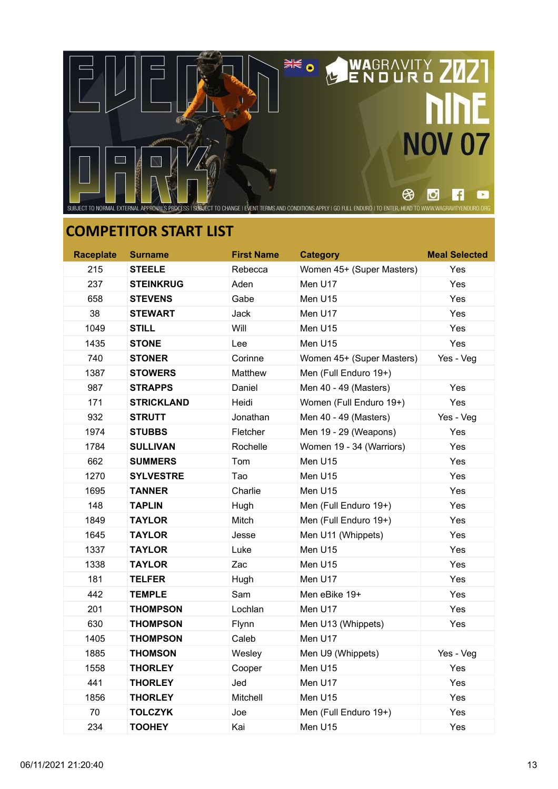

| <b>Raceplate</b> | <b>Surname</b>   | <b>First Name</b> | <b>Category</b>           | <b>Meal Selected</b> |
|------------------|------------------|-------------------|---------------------------|----------------------|
| 215              | <b>STEELE</b>    | Rebecca           | Women 45+ (Super Masters) | Yes                  |
| 237              | <b>STEINKRUG</b> | Aden              | Men U17                   | Yes                  |
| 658              | <b>STEVENS</b>   | Gabe              | Men U15                   | Yes                  |
| 38               | <b>STEWART</b>   | Jack              | Men U17                   | Yes                  |
| 1049             | <b>STILL</b>     | Will              | Men U15                   | Yes                  |
| 1435             | <b>STONE</b>     | Lee               | Men U15                   | Yes                  |
| 740              | <b>STONER</b>    | Corinne           | Women 45+ (Super Masters) | Yes - Veg            |
| 1387             | <b>STOWERS</b>   | Matthew           | Men (Full Enduro 19+)     |                      |
| 987              | <b>STRAPPS</b>   | Daniel            | Men 40 - 49 (Masters)     | Yes                  |
| 171              | STRICKLAND       | Heidi             | Women (Full Enduro 19+)   | Yes                  |
| 932              | <b>STRUTT</b>    | Jonathan          | Men 40 - 49 (Masters)     | Yes - Veg            |
| 1974             | <b>STUBBS</b>    | Fletcher          | Men 19 - 29 (Weapons)     | Yes                  |
| 1784             | <b>SULLIVAN</b>  | Rochelle          | Women 19 - 34 (Warriors)  | Yes                  |
| 662              | <b>SUMMERS</b>   | Tom               | Men U15                   | Yes                  |
| 1270             | <b>SYLVESTRE</b> | Tao               | Men U15                   | Yes                  |
| 1695             | <b>TANNER</b>    | Charlie           | Men U15                   | Yes                  |
| 148              | <b>TAPLIN</b>    | Hugh              | Men (Full Enduro 19+)     | Yes                  |
| 1849             | <b>TAYLOR</b>    | Mitch             | Men (Full Enduro 19+)     | Yes                  |
| 1645             | <b>TAYLOR</b>    | Jesse             | Men U11 (Whippets)        | Yes                  |
| 1337             | <b>TAYLOR</b>    | Luke              | Men U15                   | Yes                  |
| 1338             | <b>TAYLOR</b>    | Zac               | Men U15                   | Yes                  |
| 181              | <b>TELFER</b>    | Hugh              | Men U17                   | Yes                  |
| 442              | <b>TEMPLE</b>    | Sam               | Men eBike 19+             | Yes                  |
| 201              | <b>THOMPSON</b>  | Lochlan           | Men U17                   | Yes                  |
| 630              | <b>THOMPSON</b>  | Flynn             | Men U13 (Whippets)        | Yes                  |
| 1405             | <b>THOMPSON</b>  | Caleb             | Men U17                   |                      |
| 1885             | <b>THOMSON</b>   | Wesley            | Men U9 (Whippets)         | Yes - Veg            |
| 1558             | <b>THORLEY</b>   | Cooper            | Men U15                   | Yes                  |
| 441              | <b>THORLEY</b>   | Jed               | Men U17                   | Yes                  |
| 1856             | <b>THORLEY</b>   | Mitchell          | Men U15                   | Yes                  |
| 70               | <b>TOLCZYK</b>   | Joe               | Men (Full Enduro 19+)     | Yes                  |
| 234              | <b>TOOHEY</b>    | Kai               | Men U15                   | Yes                  |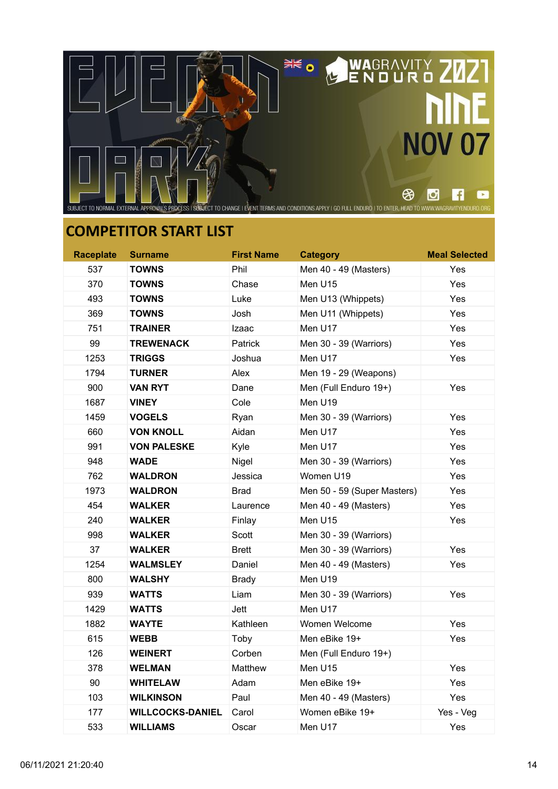

| <b>Raceplate</b> | <b>Surname</b>          | <b>First Name</b> | <b>Category</b>             | <b>Meal Selected</b> |
|------------------|-------------------------|-------------------|-----------------------------|----------------------|
| 537              | <b>TOWNS</b>            | Phil              | Men 40 - 49 (Masters)       | Yes                  |
| 370              | <b>TOWNS</b>            | Chase             | Men U15                     | Yes                  |
| 493              | <b>TOWNS</b>            | Luke              | Men U13 (Whippets)          | Yes                  |
| 369              | <b>TOWNS</b>            | Josh              | Men U11 (Whippets)          | Yes                  |
| 751              | <b>TRAINER</b>          | Izaac             | Men U17                     | Yes                  |
| 99               | <b>TREWENACK</b>        | Patrick           | Men 30 - 39 (Warriors)      | Yes                  |
| 1253             | <b>TRIGGS</b>           | Joshua            | Men U17                     | Yes                  |
| 1794             | <b>TURNER</b>           | Alex              | Men 19 - 29 (Weapons)       |                      |
| 900              | <b>VAN RYT</b>          | Dane              | Men (Full Enduro 19+)       | Yes                  |
| 1687             | <b>VINEY</b>            | Cole              | Men U19                     |                      |
| 1459             | <b>VOGELS</b>           | Ryan              | Men 30 - 39 (Warriors)      | Yes                  |
| 660              | <b>VON KNOLL</b>        | Aidan             | Men U17                     | Yes                  |
| 991              | <b>VON PALESKE</b>      | Kyle              | Men U17                     | Yes                  |
| 948              | <b>WADE</b>             | Nigel             | Men 30 - 39 (Warriors)      | Yes                  |
| 762              | <b>WALDRON</b>          | Jessica           | Women U19                   | Yes                  |
| 1973             | <b>WALDRON</b>          | <b>Brad</b>       | Men 50 - 59 (Super Masters) | Yes                  |
| 454              | <b>WALKER</b>           | Laurence          | Men 40 - 49 (Masters)       | Yes                  |
| 240              | <b>WALKER</b>           | Finlay            | Men U15                     | Yes                  |
| 998              | <b>WALKER</b>           | Scott             | Men 30 - 39 (Warriors)      |                      |
| 37               | <b>WALKER</b>           | <b>Brett</b>      | Men 30 - 39 (Warriors)      | Yes                  |
| 1254             | <b>WALMSLEY</b>         | Daniel            | Men 40 - 49 (Masters)       | Yes                  |
| 800              | <b>WALSHY</b>           | <b>Brady</b>      | Men U19                     |                      |
| 939              | <b>WATTS</b>            | Liam              | Men 30 - 39 (Warriors)      | Yes                  |
| 1429             | <b>WATTS</b>            | Jett              | Men U17                     |                      |
| 1882             | <b>WAYTE</b>            | Kathleen          | Women Welcome               | Yes                  |
| 615              | <b>WEBB</b>             | Toby              | Men eBike 19+               | Yes                  |
| 126              | <b>WEINERT</b>          | Corben            | Men (Full Enduro 19+)       |                      |
| 378              | <b>WELMAN</b>           | Matthew           | Men U15                     | Yes                  |
| 90               | <b>WHITELAW</b>         | Adam              | Men eBike 19+               | Yes                  |
| 103              | <b>WILKINSON</b>        | Paul              | Men 40 - 49 (Masters)       | Yes                  |
| 177              | <b>WILLCOCKS-DANIEL</b> | Carol             | Women eBike 19+             | Yes - Veg            |
| 533              | <b>WILLIAMS</b>         | Oscar             | Men U17                     | Yes                  |